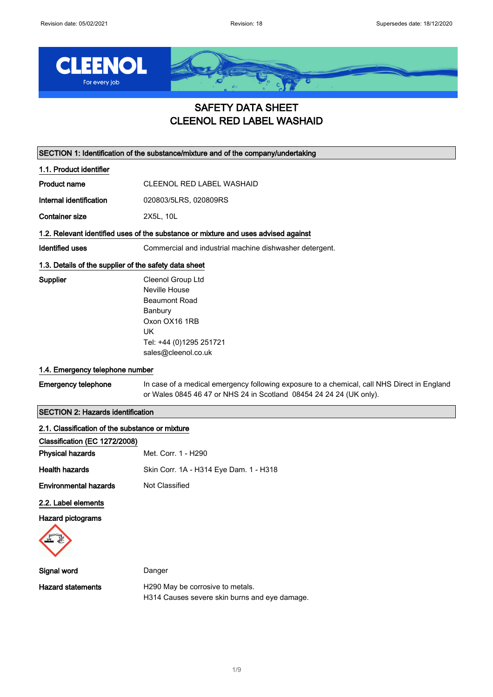

## SAFETY DATA SHEET CLEENOL RED LABEL WASHAID

SECTION 1: Identification of the substance/mixture and of the company/undertaking

1.1. Product identifier

Product name CLEENOL RED LABEL WASHAID

Internal identification 020803/5LRS, 020809RS

Container size 2X5L, 10L

#### 1.2. Relevant identified uses of the substance or mixture and uses advised against

Identified uses Commercial and industrial machine dishwasher detergent.

#### 1.3. Details of the supplier of the safety data sheet

Supplier Cleenol Group Ltd Neville House Beaumont Road Banbury Oxon OX16 1RB UK Tel: +44 (0)1295 251721 sales@cleenol.co.uk

#### 1.4. Emergency telephone number

### Emergency telephone In case of a medical emergency following exposure to a chemical, call NHS Direct in England or Wales 0845 46 47 or NHS 24 in Scotland 08454 24 24 24 (UK only).

## SECTION 2: Hazards identification

| 2.1. Classification of the substance or mixture |                                                                                   |
|-------------------------------------------------|-----------------------------------------------------------------------------------|
| Classification (EC 1272/2008)                   |                                                                                   |
| <b>Physical hazards</b>                         | Met. Corr. 1 - H290                                                               |
| <b>Health hazards</b>                           | Skin Corr. 1A - H314 Eye Dam. 1 - H318                                            |
| <b>Environmental hazards</b>                    | Not Classified                                                                    |
| 2.2. Label elements                             |                                                                                   |
| Hazard pictograms                               |                                                                                   |
|                                                 |                                                                                   |
| Signal word                                     | Danger                                                                            |
| <b>Hazard statements</b>                        | H290 May be corrosive to metals.<br>H314 Causes severe skin burns and eye damage. |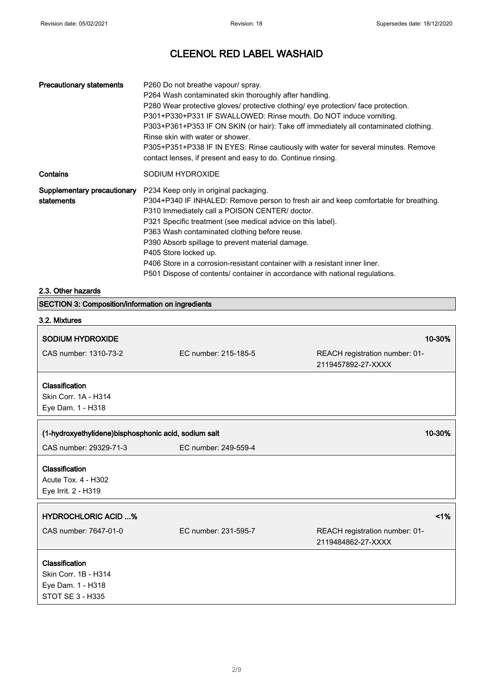| <b>Precautionary statements</b>           | P260 Do not breathe vapour/ spray.<br>P264 Wash contaminated skin thoroughly after handling.<br>P280 Wear protective gloves/ protective clothing/ eye protection/ face protection.<br>P301+P330+P331 IF SWALLOWED: Rinse mouth. Do NOT induce vomiting.<br>P303+P361+P353 IF ON SKIN (or hair): Take off immediately all contaminated clothing.<br>Rinse skin with water or shower.<br>P305+P351+P338 IF IN EYES: Rinse cautiously with water for several minutes. Remove<br>contact lenses, if present and easy to do. Continue rinsing.   |
|-------------------------------------------|---------------------------------------------------------------------------------------------------------------------------------------------------------------------------------------------------------------------------------------------------------------------------------------------------------------------------------------------------------------------------------------------------------------------------------------------------------------------------------------------------------------------------------------------|
| Contains                                  | SODIUM HYDROXIDE                                                                                                                                                                                                                                                                                                                                                                                                                                                                                                                            |
| Supplementary precautionary<br>statements | P234 Keep only in original packaging.<br>P304+P340 IF INHALED: Remove person to fresh air and keep comfortable for breathing.<br>P310 Immediately call a POISON CENTER/ doctor.<br>P321 Specific treatment (see medical advice on this label).<br>P363 Wash contaminated clothing before reuse.<br>P390 Absorb spillage to prevent material damage.<br>P405 Store locked up.<br>P406 Store in a corrosion-resistant container with a resistant inner liner.<br>P501 Dispose of contents/ container in accordance with national regulations. |

#### 2.3. Other hazards

| <b>SECTION 3: Composition/information on ingredients</b>    |                      |                                                      |
|-------------------------------------------------------------|----------------------|------------------------------------------------------|
| 3.2. Mixtures                                               |                      |                                                      |
| <b>SODIUM HYDROXIDE</b>                                     |                      | 10-30%                                               |
| CAS number: 1310-73-2                                       | EC number: 215-185-5 | REACH registration number: 01-<br>2119457892-27-XXXX |
| Classification<br>Skin Corr. 1A - H314<br>Eye Dam. 1 - H318 |                      |                                                      |
|                                                             |                      |                                                      |
| (1-hydroxyethylidene)bisphosphonic acid, sodium salt        |                      | 10-30%                                               |
| CAS number: 29329-71-3                                      | EC number: 249-559-4 |                                                      |
| Classification                                              |                      |                                                      |
|                                                             |                      |                                                      |
| Acute Tox. 4 - H302                                         |                      |                                                      |
| Eye Irrit. 2 - H319                                         |                      |                                                      |
|                                                             |                      |                                                      |
| <b>HYDROCHLORIC ACID %</b>                                  |                      | 1%                                                   |
| CAS number: 7647-01-0                                       | EC number: 231-595-7 | REACH registration number: 01-<br>2119484862-27-XXXX |
|                                                             |                      |                                                      |
| Classification<br>Skin Corr. 1B - H314                      |                      |                                                      |
| Eye Dam. 1 - H318                                           |                      |                                                      |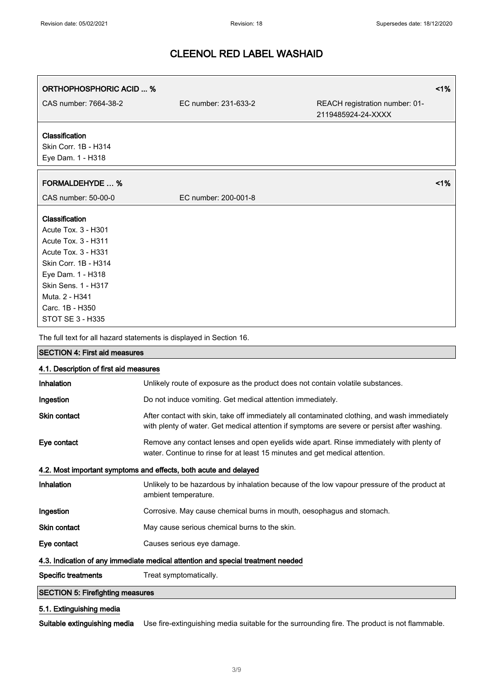$\Gamma$ 

٦

# CLEENOL RED LABEL WASHAID

| <b>ORTHOPHOSPHORIC ACID  %</b>                                                                                                                                                                                   |                      |                                                      | 1%    |
|------------------------------------------------------------------------------------------------------------------------------------------------------------------------------------------------------------------|----------------------|------------------------------------------------------|-------|
| CAS number: 7664-38-2                                                                                                                                                                                            | EC number: 231-633-2 | REACH registration number: 01-<br>2119485924-24-XXXX |       |
| Classification<br>Skin Corr. 1B - H314<br>Eye Dam. 1 - H318                                                                                                                                                      |                      |                                                      |       |
| <b>FORMALDEHYDE  %</b>                                                                                                                                                                                           |                      |                                                      | $1\%$ |
| CAS number: 50-00-0                                                                                                                                                                                              | EC number: 200-001-8 |                                                      |       |
| Classification<br>Acute Tox. 3 - H301<br>Acute Tox. 3 - H311<br>Acute Tox. 3 - H331<br>Skin Corr. 1B - H314<br>Eye Dam. 1 - H318<br>Skin Sens. 1 - H317<br>Muta. 2 - H341<br>Carc. 1B - H350<br>STOT SE 3 - H335 |                      |                                                      |       |
| The full text for all hazard statements is displayed in Section 16.                                                                                                                                              |                      |                                                      |       |

| 4.1. Description of first aid measures                                          |                                                                                                                                                                                               |  |
|---------------------------------------------------------------------------------|-----------------------------------------------------------------------------------------------------------------------------------------------------------------------------------------------|--|
| Inhalation                                                                      | Unlikely route of exposure as the product does not contain volatile substances.                                                                                                               |  |
| Ingestion                                                                       | Do not induce vomiting. Get medical attention immediately.                                                                                                                                    |  |
| <b>Skin contact</b>                                                             | After contact with skin, take off immediately all contaminated clothing, and wash immediately<br>with plenty of water. Get medical attention if symptoms are severe or persist after washing. |  |
| Eye contact                                                                     | Remove any contact lenses and open eyelids wide apart. Rinse immediately with plenty of<br>water. Continue to rinse for at least 15 minutes and get medical attention.                        |  |
| 4.2. Most important symptoms and effects, both acute and delayed                |                                                                                                                                                                                               |  |
| Inhalation                                                                      | Unlikely to be hazardous by inhalation because of the low vapour pressure of the product at<br>ambient temperature.                                                                           |  |
| Ingestion                                                                       | Corrosive. May cause chemical burns in mouth, oesophagus and stomach.                                                                                                                         |  |
| Skin contact                                                                    | May cause serious chemical burns to the skin.                                                                                                                                                 |  |
| Eye contact                                                                     | Causes serious eye damage.                                                                                                                                                                    |  |
| 4.3. Indication of any immediate medical attention and special treatment needed |                                                                                                                                                                                               |  |
| <b>Specific treatments</b>                                                      | Treat symptomatically.                                                                                                                                                                        |  |
| <b>SECTION 5: Firefighting measures</b>                                         |                                                                                                                                                                                               |  |

### 5.1. Extinguishing media

SECTION 4: First aid measures

Suitable extinguishing media Use fire-extinguishing media suitable for the surrounding fire. The product is not flammable.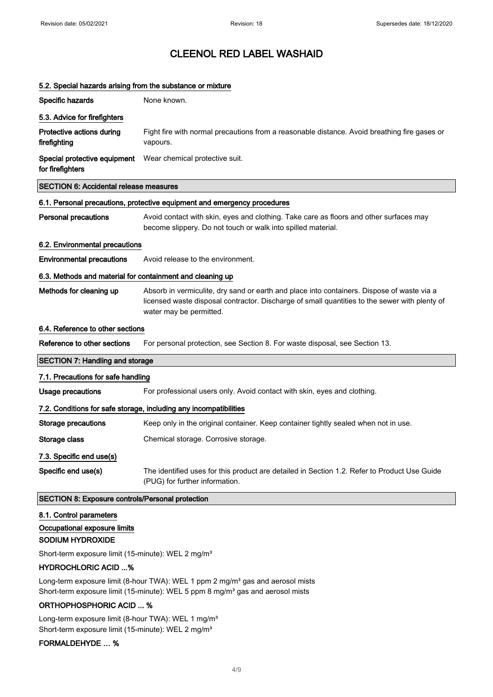| 5.2. Special hazards arising from the substance or mixture |                                                                                                                                                                                                                        |
|------------------------------------------------------------|------------------------------------------------------------------------------------------------------------------------------------------------------------------------------------------------------------------------|
| Specific hazards                                           | None known.                                                                                                                                                                                                            |
| 5.3. Advice for firefighters                               |                                                                                                                                                                                                                        |
| Protective actions during<br>firefighting                  | Fight fire with normal precautions from a reasonable distance. Avoid breathing fire gases or<br>vapours.                                                                                                               |
| Special protective equipment<br>for firefighters           | Wear chemical protective suit.                                                                                                                                                                                         |
| <b>SECTION 6: Accidental release measures</b>              |                                                                                                                                                                                                                        |
|                                                            | 6.1. Personal precautions, protective equipment and emergency procedures                                                                                                                                               |
| <b>Personal precautions</b>                                | Avoid contact with skin, eyes and clothing. Take care as floors and other surfaces may<br>become slippery. Do not touch or walk into spilled material.                                                                 |
| 6.2. Environmental precautions                             |                                                                                                                                                                                                                        |
| <b>Environmental precautions</b>                           | Avoid release to the environment.                                                                                                                                                                                      |
| 6.3. Methods and material for containment and cleaning up  |                                                                                                                                                                                                                        |
| Methods for cleaning up                                    | Absorb in vermiculite, dry sand or earth and place into containers. Dispose of waste via a<br>licensed waste disposal contractor. Discharge of small quantities to the sewer with plenty of<br>water may be permitted. |
| 6.4. Reference to other sections                           |                                                                                                                                                                                                                        |
| Reference to other sections                                | For personal protection, see Section 8. For waste disposal, see Section 13.                                                                                                                                            |
| <b>SECTION 7: Handling and storage</b>                     |                                                                                                                                                                                                                        |
| 7.1. Precautions for safe handling                         |                                                                                                                                                                                                                        |
| Usage precautions                                          | For professional users only. Avoid contact with skin, eyes and clothing.                                                                                                                                               |
|                                                            | 7.2. Conditions for safe storage, including any incompatibilities                                                                                                                                                      |
| <b>Storage precautions</b>                                 | Keep only in the original container. Keep container tightly sealed when not in use.                                                                                                                                    |
| Storage class                                              | Chemical storage. Corrosive storage.                                                                                                                                                                                   |
| 7.3. Specific end use(s)                                   |                                                                                                                                                                                                                        |
| Specific end use(s)                                        | The identified uses for this product are detailed in Section 1.2. Refer to Product Use Guide<br>(PUG) for further information.                                                                                         |
| <b>SECTION 8: Exposure controls/Personal protection</b>    |                                                                                                                                                                                                                        |
| 8.1. Control parameters                                    |                                                                                                                                                                                                                        |
| Occupational exposure limits                               |                                                                                                                                                                                                                        |

### SODIUM HYDROXIDE

Short-term exposure limit (15-minute): WEL 2 mg/m<sup>3</sup>

#### HYDROCHLORIC ACID ...%

Long-term exposure limit (8-hour TWA): WEL 1 ppm 2 mg/m<sup>3</sup> gas and aerosol mists Short-term exposure limit (15-minute): WEL 5 ppm 8 mg/m<sup>3</sup> gas and aerosol mists

### ORTHOPHOSPHORIC ACID ... %

Long-term exposure limit (8-hour TWA): WEL 1 mg/m<sup>3</sup> Short-term exposure limit (15-minute): WEL 2 mg/m<sup>3</sup>

#### FORMALDEHYDE … %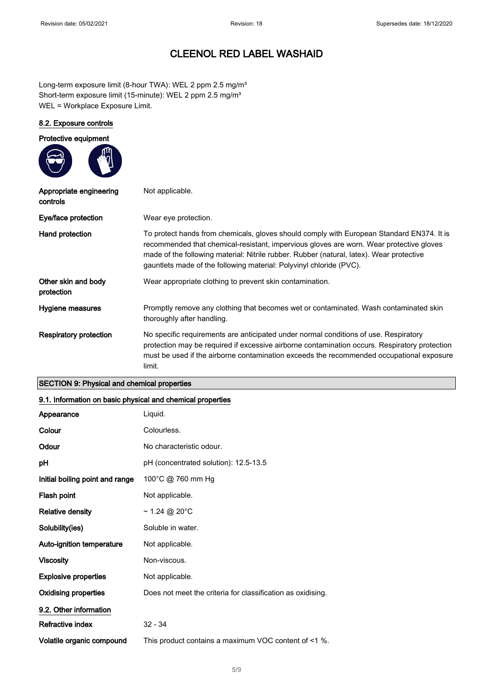Long-term exposure limit (8-hour TWA): WEL 2 ppm 2.5 mg/m<sup>3</sup> Short-term exposure limit (15-minute): WEL 2 ppm 2.5 mg/m<sup>3</sup> WEL = Workplace Exposure Limit.

#### 8.2. Exposure controls

| Protective equipment                |                                                                                                                                                                                                                                                                                                                                                         |
|-------------------------------------|---------------------------------------------------------------------------------------------------------------------------------------------------------------------------------------------------------------------------------------------------------------------------------------------------------------------------------------------------------|
| Appropriate engineering<br>controls | Not applicable.                                                                                                                                                                                                                                                                                                                                         |
| Eye/face protection                 | Wear eye protection.                                                                                                                                                                                                                                                                                                                                    |
| Hand protection                     | To protect hands from chemicals, gloves should comply with European Standard EN374. It is<br>recommended that chemical-resistant, impervious gloves are worn. Wear protective gloves<br>made of the following material: Nitrile rubber. Rubber (natural, latex). Wear protective<br>gauntlets made of the following material: Polyvinyl chloride (PVC). |
| Other skin and body<br>protection   | Wear appropriate clothing to prevent skin contamination.                                                                                                                                                                                                                                                                                                |
| Hygiene measures                    | Promptly remove any clothing that becomes wet or contaminated. Wash contaminated skin<br>thoroughly after handling.                                                                                                                                                                                                                                     |
| <b>Respiratory protection</b>       | No specific requirements are anticipated under normal conditions of use. Respiratory<br>protection may be required if excessive airborne contamination occurs. Respiratory protection<br>must be used if the airborne contamination exceeds the recommended occupational exposure<br>limit.                                                             |

### SECTION 9: Physical and chemical properties

#### 9.1. Information on basic physical and chemical properties

| Appearance                      | Liquid.                                                     |
|---------------------------------|-------------------------------------------------------------|
| Colour                          | Colourless.                                                 |
| Odour                           | No characteristic odour.                                    |
| рH                              | pH (concentrated solution): 12.5-13.5                       |
| Initial boiling point and range | 100°C @ 760 mm Hg                                           |
| Flash point                     | Not applicable.                                             |
| <b>Relative density</b>         | ~1.24 @ 20°C                                                |
| Solubility(ies)                 | Soluble in water.                                           |
| Auto-ignition temperature       | Not applicable.                                             |
| <b>Viscosity</b>                | Non-viscous.                                                |
| <b>Explosive properties</b>     | Not applicable.                                             |
| Oxidising properties            | Does not meet the criteria for classification as oxidising. |
| 9.2. Other information          |                                                             |
| <b>Refractive index</b>         | $32 - 34$                                                   |
| Volatile organic compound       | This product contains a maximum VOC content of <1 %.        |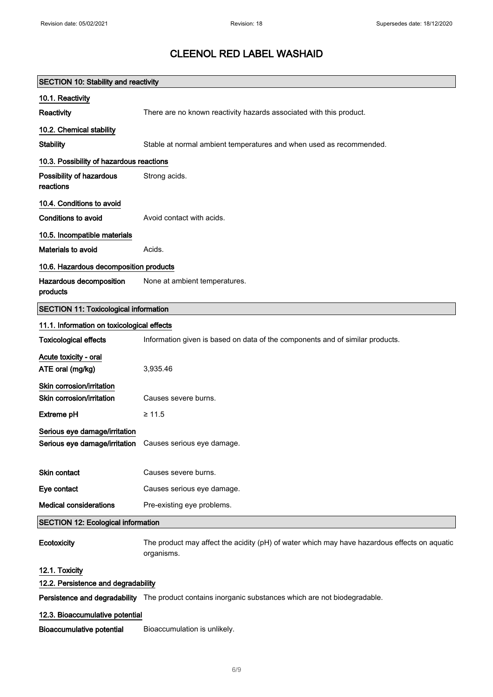| <b>SECTION 10: Stability and reactivity</b>                                                     |                                                                                                            |  |
|-------------------------------------------------------------------------------------------------|------------------------------------------------------------------------------------------------------------|--|
| 10.1. Reactivity                                                                                |                                                                                                            |  |
| Reactivity                                                                                      | There are no known reactivity hazards associated with this product.                                        |  |
| 10.2. Chemical stability                                                                        |                                                                                                            |  |
| <b>Stability</b>                                                                                | Stable at normal ambient temperatures and when used as recommended.                                        |  |
| 10.3. Possibility of hazardous reactions                                                        |                                                                                                            |  |
| Possibility of hazardous<br>reactions                                                           | Strong acids.                                                                                              |  |
| 10.4. Conditions to avoid                                                                       |                                                                                                            |  |
| Conditions to avoid                                                                             | Avoid contact with acids.                                                                                  |  |
| 10.5. Incompatible materials                                                                    |                                                                                                            |  |
| <b>Materials to avoid</b>                                                                       | Acids.                                                                                                     |  |
| 10.6. Hazardous decomposition products                                                          |                                                                                                            |  |
| Hazardous decomposition<br>products                                                             | None at ambient temperatures.                                                                              |  |
| <b>SECTION 11: Toxicological information</b>                                                    |                                                                                                            |  |
| 11.1. Information on toxicological effects                                                      |                                                                                                            |  |
| <b>Toxicological effects</b>                                                                    | Information given is based on data of the components and of similar products.                              |  |
| Acute toxicity - oral<br>ATE oral (mg/kg)                                                       | 3,935.46                                                                                                   |  |
| Skin corrosion/irritation<br>Skin corrosion/irritation                                          | Causes severe burns.                                                                                       |  |
| <b>Extreme pH</b>                                                                               | $\geq 11.5$                                                                                                |  |
| Serious eye damage/irritation<br><b>Serious eye damage/irritation</b> Causes serious eye damage |                                                                                                            |  |
| <b>Skin contact</b>                                                                             | Causes severe burns.                                                                                       |  |
| Eye contact                                                                                     | Causes serious eye damage.                                                                                 |  |
| <b>Medical considerations</b>                                                                   | Pre-existing eye problems.                                                                                 |  |
| <b>SECTION 12: Ecological information</b>                                                       |                                                                                                            |  |
| Ecotoxicity                                                                                     | The product may affect the acidity (pH) of water which may have hazardous effects on aquatic<br>organisms. |  |
| 12.1. Toxicity                                                                                  |                                                                                                            |  |
| 12.2. Persistence and degradability                                                             |                                                                                                            |  |
|                                                                                                 | Persistence and degradability The product contains inorganic substances which are not biodegradable.       |  |
| 12.3. Bioaccumulative potential                                                                 |                                                                                                            |  |
| <b>Bioaccumulative potential</b>                                                                | Bioaccumulation is unlikely.                                                                               |  |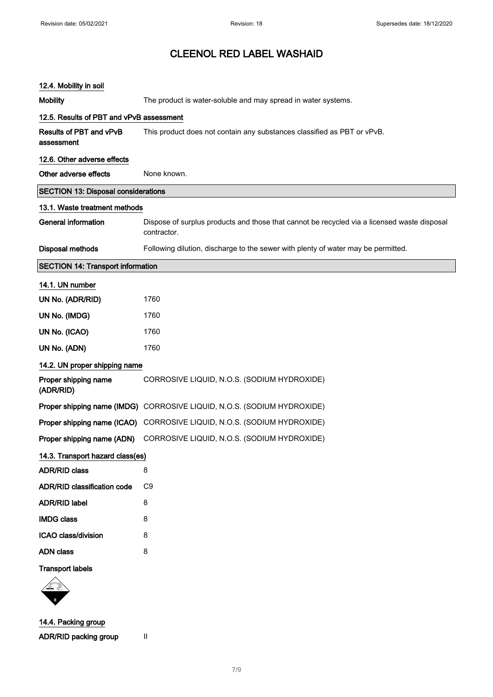| 12.4. Mobility in soil                     |                                                                                                            |
|--------------------------------------------|------------------------------------------------------------------------------------------------------------|
| <b>Mobility</b>                            | The product is water-soluble and may spread in water systems.                                              |
| 12.5. Results of PBT and vPvB assessment   |                                                                                                            |
| Results of PBT and vPvB<br>assessment      | This product does not contain any substances classified as PBT or vPvB.                                    |
| 12.6. Other adverse effects                |                                                                                                            |
| Other adverse effects                      | None known.                                                                                                |
| <b>SECTION 13: Disposal considerations</b> |                                                                                                            |
| 13.1. Waste treatment methods              |                                                                                                            |
| <b>General information</b>                 | Dispose of surplus products and those that cannot be recycled via a licensed waste disposal<br>contractor. |
| <b>Disposal methods</b>                    | Following dilution, discharge to the sewer with plenty of water may be permitted.                          |
| <b>SECTION 14: Transport information</b>   |                                                                                                            |
| 14.1. UN number                            |                                                                                                            |
| UN No. (ADR/RID)                           | 1760                                                                                                       |
| UN No. (IMDG)                              | 1760                                                                                                       |
| UN No. (ICAO)                              | 1760                                                                                                       |
| UN No. (ADN)                               | 1760                                                                                                       |
| 14.2. UN proper shipping name              |                                                                                                            |
| Proper shipping name<br>(ADR/RID)          | CORROSIVE LIQUID, N.O.S. (SODIUM HYDROXIDE)                                                                |
|                                            | Proper shipping name (IMDG) CORROSIVE LIQUID, N.O.S. (SODIUM HYDROXIDE)                                    |
|                                            | Proper shipping name (ICAO) CORROSIVE LIQUID, N.O.S. (SODIUM HYDROXIDE)                                    |
| Proper shipping name (ADN)                 | CORROSIVE LIQUID, N.O.S. (SODIUM HYDROXIDE)                                                                |
| 14.3. Transport hazard class(es)           |                                                                                                            |
| <b>ADR/RID class</b>                       | 8                                                                                                          |
| <b>ADR/RID classification code</b>         | C <sub>9</sub>                                                                                             |
| <b>ADR/RID label</b>                       | 8                                                                                                          |
| <b>IMDG class</b>                          | 8                                                                                                          |
| ICAO class/division                        | 8                                                                                                          |
| <b>ADN</b> class                           | 8                                                                                                          |
| <b>Transport labels</b>                    |                                                                                                            |
|                                            |                                                                                                            |
| 14.4. Packing group                        |                                                                                                            |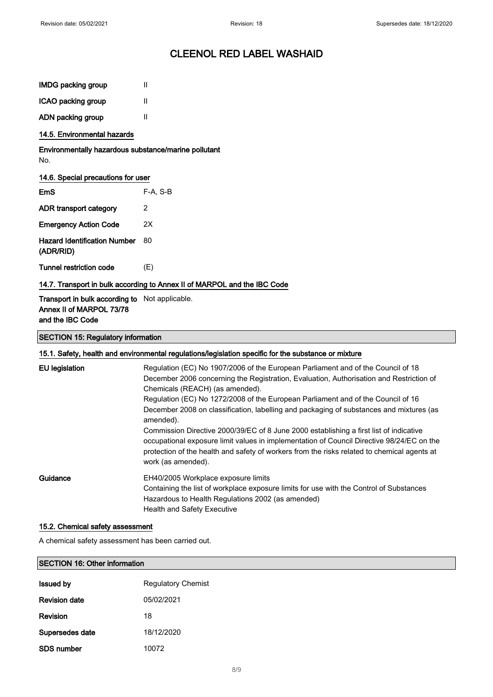$\overline{\phantom{0}}$ 

# CLEENOL RED LABEL WASHAID

| <b>IMDG packing group</b>                                                                      | Ш                                                                                                                                                                                                                                                                                                                                                                                                                                                                                                                                                                                                                                                                                                                      |
|------------------------------------------------------------------------------------------------|------------------------------------------------------------------------------------------------------------------------------------------------------------------------------------------------------------------------------------------------------------------------------------------------------------------------------------------------------------------------------------------------------------------------------------------------------------------------------------------------------------------------------------------------------------------------------------------------------------------------------------------------------------------------------------------------------------------------|
| ICAO packing group                                                                             | Ш                                                                                                                                                                                                                                                                                                                                                                                                                                                                                                                                                                                                                                                                                                                      |
| ADN packing group                                                                              | Ш                                                                                                                                                                                                                                                                                                                                                                                                                                                                                                                                                                                                                                                                                                                      |
| 14.5. Environmental hazards                                                                    |                                                                                                                                                                                                                                                                                                                                                                                                                                                                                                                                                                                                                                                                                                                        |
| Environmentally hazardous substance/marine pollutant<br>No.                                    |                                                                                                                                                                                                                                                                                                                                                                                                                                                                                                                                                                                                                                                                                                                        |
| 14.6. Special precautions for user                                                             |                                                                                                                                                                                                                                                                                                                                                                                                                                                                                                                                                                                                                                                                                                                        |
| EmS                                                                                            | F-A, S-B                                                                                                                                                                                                                                                                                                                                                                                                                                                                                                                                                                                                                                                                                                               |
| ADR transport category                                                                         | 2                                                                                                                                                                                                                                                                                                                                                                                                                                                                                                                                                                                                                                                                                                                      |
| <b>Emergency Action Code</b>                                                                   | 2X                                                                                                                                                                                                                                                                                                                                                                                                                                                                                                                                                                                                                                                                                                                     |
| <b>Hazard Identification Number</b><br>(ADR/RID)                                               | 80                                                                                                                                                                                                                                                                                                                                                                                                                                                                                                                                                                                                                                                                                                                     |
| <b>Tunnel restriction code</b>                                                                 | (E)                                                                                                                                                                                                                                                                                                                                                                                                                                                                                                                                                                                                                                                                                                                    |
|                                                                                                | 14.7. Transport in bulk according to Annex II of MARPOL and the IBC Code                                                                                                                                                                                                                                                                                                                                                                                                                                                                                                                                                                                                                                               |
| Transport in bulk according to Not applicable.<br>Annex II of MARPOL 73/78<br>and the IBC Code |                                                                                                                                                                                                                                                                                                                                                                                                                                                                                                                                                                                                                                                                                                                        |
| <b>SECTION 15: Regulatory information</b>                                                      |                                                                                                                                                                                                                                                                                                                                                                                                                                                                                                                                                                                                                                                                                                                        |
|                                                                                                | 15.1. Safety, health and environmental regulations/legislation specific for the substance or mixture                                                                                                                                                                                                                                                                                                                                                                                                                                                                                                                                                                                                                   |
| <b>EU</b> legislation                                                                          | Regulation (EC) No 1907/2006 of the European Parliament and of the Council of 18<br>December 2006 concerning the Registration, Evaluation, Authorisation and Restriction of<br>Chemicals (REACH) (as amended).<br>Regulation (EC) No 1272/2008 of the European Parliament and of the Council of 16<br>December 2008 on classification, labelling and packaging of substances and mixtures (as<br>amended).<br>Commission Directive 2000/39/EC of 8 June 2000 establishing a first list of indicative<br>occupational exposure limit values in implementation of Council Directive 98/24/EC on the<br>protection of the health and safety of workers from the risks related to chemical agents at<br>work (as amended). |
| Guidance                                                                                       | EH40/2005 Workplace exposure limits<br>Containing the list of workplace exposure limits for use with the Control of Substances<br>Hazardous to Health Regulations 2002 (as amended)<br>Health and Safety Executive                                                                                                                                                                                                                                                                                                                                                                                                                                                                                                     |
| 15.2. Chemical safety assessment                                                               |                                                                                                                                                                                                                                                                                                                                                                                                                                                                                                                                                                                                                                                                                                                        |

A chemical safety assessment has been carried out.

## SECTION 16: Other information

| <b>Issued by</b>     | <b>Regulatory Chemist</b> |
|----------------------|---------------------------|
| <b>Revision date</b> | 05/02/2021                |
| Revision             | 18                        |
| Supersedes date      | 18/12/2020                |
| <b>SDS number</b>    | 10072                     |